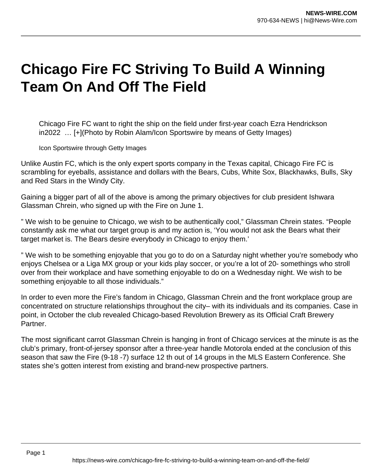## **Chicago Fire FC Striving To Build A Winning Team On And Off The Field**

Chicago Fire FC want to right the ship on the field under first-year coach Ezra Hendrickson in2022 … [+](Photo by Robin Alam/Icon Sportswire by means of Getty Images)

Icon Sportswire through Getty Images

Unlike Austin FC, which is the only expert sports company in the Texas capital, Chicago Fire FC is scrambling for eyeballs, assistance and dollars with the Bears, Cubs, White Sox, Blackhawks, Bulls, Sky and Red Stars in the Windy City.

Gaining a bigger part of all of the above is among the primary objectives for club president Ishwara Glassman Chrein, who signed up with the Fire on June 1.

" We wish to be genuine to Chicago, we wish to be authentically cool," Glassman Chrein states. "People constantly ask me what our target group is and my action is, 'You would not ask the Bears what their target market is. The Bears desire everybody in Chicago to enjoy them.'

" We wish to be something enjoyable that you go to do on a Saturday night whether you're somebody who enjoys Chelsea or a Liga MX group or your kids play soccer, or you're a lot of 20- somethings who stroll over from their workplace and have something enjoyable to do on a Wednesday night. We wish to be something enjoyable to all those individuals."

In order to even more the Fire's fandom in Chicago, Glassman Chrein and the front workplace group are concentrated on structure relationships throughout the city– with its individuals and its companies. Case in point, in October the club revealed Chicago-based Revolution Brewery as its Official Craft Brewery Partner.

The most significant carrot Glassman Chrein is hanging in front of Chicago services at the minute is as the club's primary, front-of-jersey sponsor after a three-year handle Motorola ended at the conclusion of this season that saw the Fire (9-18 -7) surface 12 th out of 14 groups in the MLS Eastern Conference. She states she's gotten interest from existing and brand-new prospective partners.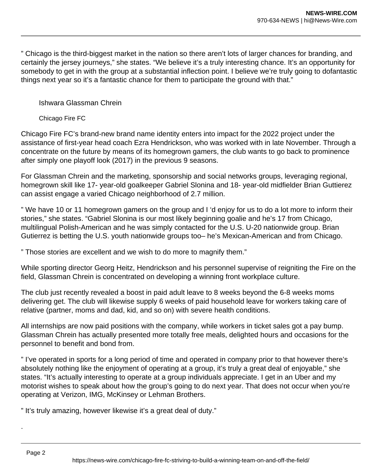" Chicago is the third-biggest market in the nation so there aren't lots of larger chances for branding, and certainly the jersey journeys," she states. "We believe it's a truly interesting chance. It's an opportunity for somebody to get in with the group at a substantial inflection point. I believe we're truly going to dofantastic things next year so it's a fantastic chance for them to participate the ground with that."

## Ishwara Glassman Chrein

## Chicago Fire FC

Chicago Fire FC's brand-new brand name identity enters into impact for the 2022 project under the assistance of first-year head coach Ezra Hendrickson, who was worked with in late November. Through a concentrate on the future by means of its homegrown gamers, the club wants to go back to prominence after simply one playoff look (2017) in the previous 9 seasons.

For Glassman Chrein and the marketing, sponsorship and social networks groups, leveraging regional, homegrown skill like 17- year-old goalkeeper Gabriel Slonina and 18- year-old midfielder Brian Guttierez can assist engage a varied Chicago neighborhood of 2.7 million.

" We have 10 or 11 homegrown gamers on the group and I 'd enjoy for us to do a lot more to inform their stories," she states. "Gabriel Slonina is our most likely beginning goalie and he's 17 from Chicago, multilingual Polish-American and he was simply contacted for the U.S. U-20 nationwide group. Brian Gutierrez is betting the U.S. youth nationwide groups too– he's Mexican-American and from Chicago.

" Those stories are excellent and we wish to do more to magnify them."

While sporting director Georg Heitz, Hendrickson and his personnel supervise of reigniting the Fire on the field, Glassman Chrein is concentrated on developing a winning front workplace culture.

The club just recently revealed a boost in paid adult leave to 8 weeks beyond the 6-8 weeks moms delivering get. The club will likewise supply 6 weeks of paid household leave for workers taking care of relative (partner, moms and dad, kid, and so on) with severe health conditions.

All internships are now paid positions with the company, while workers in ticket sales got a pay bump. Glassman Chrein has actually presented more totally free meals, delighted hours and occasions for the personnel to benefit and bond from.

" I've operated in sports for a long period of time and operated in company prior to that however there's absolutely nothing like the enjoyment of operating at a group, it's truly a great deal of enjoyable," she states. "It's actually interesting to operate at a group individuals appreciate. I get in an Uber and my motorist wishes to speak about how the group's going to do next year. That does not occur when you're operating at Verizon, IMG, McKinsey or Lehman Brothers.

" It's truly amazing, however likewise it's a great deal of duty."

.